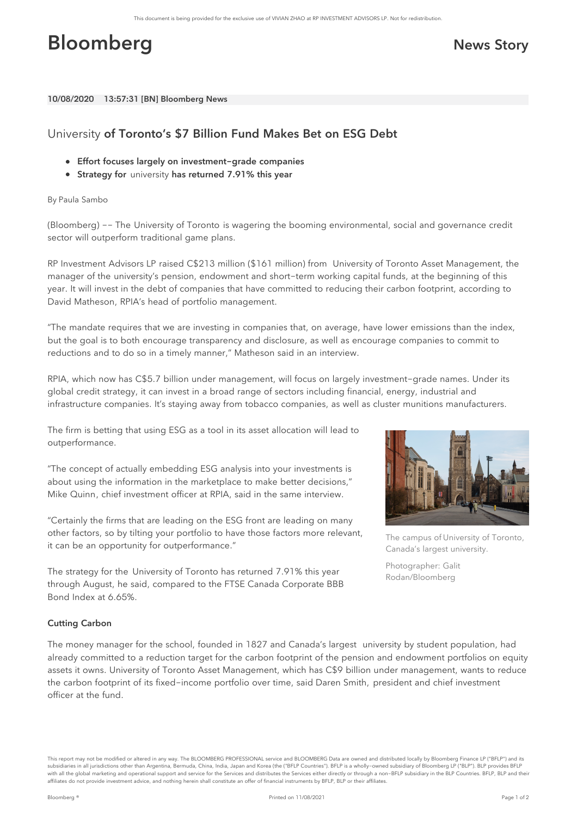# **Bloomberg News Story**

10/08/2020 13:57:31 [BN] Bloomberg News

## University of Toronto's \$7 Billion Fund Makes Bet on ESG Debt

- Effort focuses largely on investment-grade companies
- $\bullet$ Strategy for university has returned 7.91% this year

### By Paula Sambo

(Bloomberg) -- The [University](bbg://securities/1577001D CN Equity) of Toronto is wagering the booming environmental, social and governance credit sector will outperform traditional game plans.

RP [Investment](bbg://securities/1808206D CN Equity) Advisors LP raised C\$213 million (\$161 million) from University of Toronto Asset Management, the manager of the university's pension, endowment and short-term working capital funds, at the beginning of this year. It will invest in the debt of companies that have committed to reducing their carbon footprint, according to David [Matheson](bbg://people/profile/7343670), RPIA's head of portfolio management.

"The mandate requires that we are investing in companies that, on average, have lower emissions than the index, but the goal is to both encourage transparency and disclosure, as well as encourage companies to commit to reductions and to do so in a timely manner," Matheson said in an interview.

RPIA, which now has C\$5.7 billion under management, will focus on largely investment-grade names. Under its global credit strategy, it can invest in a broad range of sectors including financial, energy, industrial and infrastructure companies. It's staying away from tobacco companies, as well as cluster munitions manufacturers.

The firm is betting that using ESG as a tool in its asset allocation will lead to outperformance.

"The concept of actually embedding ESG analysis into your investments is about using the information in the marketplace to make better decisions," Mike [Quinn](bbg://people/profile/2302151), chief investment officer at RPIA, said in the same interview.

"Certainly the firms that are leading on the ESG front are leading on many other factors, so by tilting your portfolio to have those factors more relevant, it can be an opportunity for outperformance."

The strategy for the University of Toronto has returned 7.91% this year through August, he said, compared to the FTSE Canada Corporate BBB Bond Index at 6.65%.



The campus of University of Toronto, Canada's largest university.

Photographer: Galit Rodan/Bloomberg

### Cutting Carbon

The money manager for the school, founded in 1827 and Canada's largest university by student population, had already committed to a reduction target for the carbon footprint of the pension and endowment portfolios on equity assets it owns. University of Toronto Asset Management, which has C\$9 billion under management, wants to reduce the carbon footprint of its fixed-income portfolio over time, said Daren [Smith,](bbg://people/profile/16276643) president and chief investment officer at the fund.

This report may not be modified or altered in any way. The BLOOMBERG PROFESSIONAL service and BLOOMBERG Data are owned and distributed locally by Bloomberg Finance LP ("BFLP") and its subsidiaries in all jurisdictions other than Argentina, Bermuda, China, India, Japan and Korea (the ("BFLP Countries"). BFLP is a wholly-owned subsidiary of Bloomberg LP ("BLP"). BLP provides BFLP with all the global marketing and operational support and service for the Services and distributes the Services either directly or through a non-BFLP subsidiary in the BLP Countries. BFLP, BLP and their affiliates do not provide investment advice, and nothing herein shall constitute an offer of financial instruments by BFLP, BLP or their affiliates.